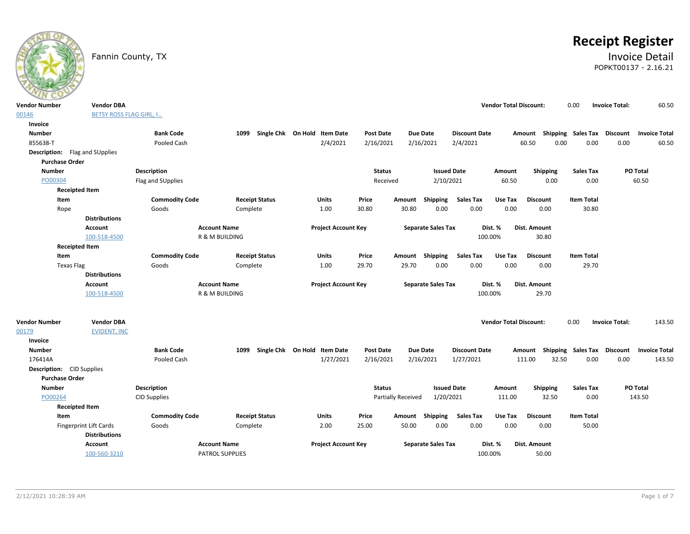

# **Receipt Register**

### Fannin County, TX **Invoice Detail** POPKT00137 - 2.16.21

| <b>BETSY ROSS FLAG GIRL, I</b><br>00146<br>Invoice<br><b>Number</b><br><b>Bank Code</b><br>Single Chk On Hold Item Date<br>Post Date<br><b>Due Date</b><br><b>Discount Date</b><br><b>Shipping Sales Tax</b><br><b>Discount</b><br>1099<br>Amount<br>2/4/2021<br>855638-T<br>Pooled Cash<br>2/16/2021<br>2/16/2021<br>2/4/2021<br>60.50<br>0.00<br>0.00<br>0.00<br><b>Description:</b> Flag and SUpplies<br><b>Purchase Order</b><br><b>Issued Date</b><br>PO Total<br><b>Number</b><br><b>Description</b><br><b>Status</b><br>Shipping<br><b>Sales Tax</b><br>Amount<br>60.50<br>0.00<br>0.00<br>60.50<br>PO00304<br>Flag and SUpplies<br>Received<br>2/10/2021<br><b>Receipted Item</b><br>Item<br><b>Commodity Code</b><br><b>Receipt Status</b><br><b>Units</b><br>Price<br><b>Shipping</b><br><b>Sales Tax</b><br>Use Tax<br><b>Discount</b><br><b>Item Total</b><br>Amount | <b>Invoice Total</b><br>60.50 |
|----------------------------------------------------------------------------------------------------------------------------------------------------------------------------------------------------------------------------------------------------------------------------------------------------------------------------------------------------------------------------------------------------------------------------------------------------------------------------------------------------------------------------------------------------------------------------------------------------------------------------------------------------------------------------------------------------------------------------------------------------------------------------------------------------------------------------------------------------------------------------------|-------------------------------|
|                                                                                                                                                                                                                                                                                                                                                                                                                                                                                                                                                                                                                                                                                                                                                                                                                                                                                  |                               |
|                                                                                                                                                                                                                                                                                                                                                                                                                                                                                                                                                                                                                                                                                                                                                                                                                                                                                  |                               |
|                                                                                                                                                                                                                                                                                                                                                                                                                                                                                                                                                                                                                                                                                                                                                                                                                                                                                  |                               |
|                                                                                                                                                                                                                                                                                                                                                                                                                                                                                                                                                                                                                                                                                                                                                                                                                                                                                  |                               |
|                                                                                                                                                                                                                                                                                                                                                                                                                                                                                                                                                                                                                                                                                                                                                                                                                                                                                  |                               |
|                                                                                                                                                                                                                                                                                                                                                                                                                                                                                                                                                                                                                                                                                                                                                                                                                                                                                  |                               |
|                                                                                                                                                                                                                                                                                                                                                                                                                                                                                                                                                                                                                                                                                                                                                                                                                                                                                  |                               |
|                                                                                                                                                                                                                                                                                                                                                                                                                                                                                                                                                                                                                                                                                                                                                                                                                                                                                  |                               |
|                                                                                                                                                                                                                                                                                                                                                                                                                                                                                                                                                                                                                                                                                                                                                                                                                                                                                  |                               |
|                                                                                                                                                                                                                                                                                                                                                                                                                                                                                                                                                                                                                                                                                                                                                                                                                                                                                  |                               |
| 0.00<br>30.80<br>30.80<br>0.00<br>0.00<br>0.00<br>30.80<br>Rope<br>Goods<br>Complete<br>1.00                                                                                                                                                                                                                                                                                                                                                                                                                                                                                                                                                                                                                                                                                                                                                                                     |                               |
| <b>Distributions</b>                                                                                                                                                                                                                                                                                                                                                                                                                                                                                                                                                                                                                                                                                                                                                                                                                                                             |                               |
| <b>Account Name</b><br><b>Project Account Key</b><br><b>Account</b><br><b>Separate Sales Tax</b><br>Dist. %<br><b>Dist. Amount</b>                                                                                                                                                                                                                                                                                                                                                                                                                                                                                                                                                                                                                                                                                                                                               |                               |
| 100-518-4500<br>R & M BUILDING<br>100.00%<br>30.80                                                                                                                                                                                                                                                                                                                                                                                                                                                                                                                                                                                                                                                                                                                                                                                                                               |                               |
| <b>Receipted Item</b>                                                                                                                                                                                                                                                                                                                                                                                                                                                                                                                                                                                                                                                                                                                                                                                                                                                            |                               |
| <b>Commodity Code</b><br><b>Receipt Status</b><br>Price<br>Amount Shipping<br><b>Sales Tax</b><br>Use Tax<br><b>Discount</b><br><b>Item Total</b><br>Item<br><b>Units</b>                                                                                                                                                                                                                                                                                                                                                                                                                                                                                                                                                                                                                                                                                                        |                               |
| 1.00<br>29.70<br>29.70<br>0.00<br>0.00<br>0.00<br>0.00<br>29.70<br><b>Texas Flag</b><br>Goods<br>Complete                                                                                                                                                                                                                                                                                                                                                                                                                                                                                                                                                                                                                                                                                                                                                                        |                               |
| <b>Distributions</b>                                                                                                                                                                                                                                                                                                                                                                                                                                                                                                                                                                                                                                                                                                                                                                                                                                                             |                               |
| <b>Account Name</b><br><b>Project Account Key</b><br><b>Separate Sales Tax</b><br>Dist. %<br><b>Account</b><br>Dist. Amount                                                                                                                                                                                                                                                                                                                                                                                                                                                                                                                                                                                                                                                                                                                                                      |                               |
| 29.70<br>100-518-4500<br><b>R &amp; M BUILDING</b><br>100.00%                                                                                                                                                                                                                                                                                                                                                                                                                                                                                                                                                                                                                                                                                                                                                                                                                    |                               |
|                                                                                                                                                                                                                                                                                                                                                                                                                                                                                                                                                                                                                                                                                                                                                                                                                                                                                  |                               |
| <b>Vendor Number</b><br><b>Vendor DBA</b><br><b>Vendor Total Discount:</b><br>0.00<br><b>Invoice Total:</b>                                                                                                                                                                                                                                                                                                                                                                                                                                                                                                                                                                                                                                                                                                                                                                      | 143.50                        |
| 00179<br><b>EVIDENT, INC</b>                                                                                                                                                                                                                                                                                                                                                                                                                                                                                                                                                                                                                                                                                                                                                                                                                                                     |                               |
| Invoice                                                                                                                                                                                                                                                                                                                                                                                                                                                                                                                                                                                                                                                                                                                                                                                                                                                                          |                               |
| <b>Bank Code</b><br>Single Chk On Hold Item Date<br><b>Due Date</b><br><b>Shipping Sales Tax</b><br><b>Discount</b><br><b>Number</b><br>1099<br><b>Post Date</b><br><b>Discount Date</b><br>Amount                                                                                                                                                                                                                                                                                                                                                                                                                                                                                                                                                                                                                                                                               | <b>Invoice Total</b>          |
| 32.50<br>0.00<br>176414A<br>Pooled Cash<br>1/27/2021<br>2/16/2021<br>2/16/2021<br>1/27/2021<br>111.00<br>0.00                                                                                                                                                                                                                                                                                                                                                                                                                                                                                                                                                                                                                                                                                                                                                                    | 143.50                        |
| <b>Description:</b> CID Supplies                                                                                                                                                                                                                                                                                                                                                                                                                                                                                                                                                                                                                                                                                                                                                                                                                                                 |                               |
| <b>Purchase Order</b>                                                                                                                                                                                                                                                                                                                                                                                                                                                                                                                                                                                                                                                                                                                                                                                                                                                            |                               |
| PO Total<br><b>Number</b><br><b>Description</b><br><b>Status</b><br><b>Issued Date</b><br>Shipping<br><b>Sales Tax</b><br>Amount                                                                                                                                                                                                                                                                                                                                                                                                                                                                                                                                                                                                                                                                                                                                                 |                               |
| PO00264<br><b>Partially Received</b><br>1/20/2021<br>111.00<br>32.50<br>0.00<br>143.50<br>CID Supplies                                                                                                                                                                                                                                                                                                                                                                                                                                                                                                                                                                                                                                                                                                                                                                           |                               |
| <b>Receipted Item</b>                                                                                                                                                                                                                                                                                                                                                                                                                                                                                                                                                                                                                                                                                                                                                                                                                                                            |                               |
| <b>Commodity Code</b><br><b>Item Total</b><br><b>Item</b><br><b>Receipt Status</b><br><b>Units</b><br>Price<br>Amount Shipping<br><b>Sales Tax</b><br>Use Tax<br><b>Discount</b>                                                                                                                                                                                                                                                                                                                                                                                                                                                                                                                                                                                                                                                                                                 |                               |
| 0.00<br>0.00<br><b>Fingerprint Lift Cards</b><br>Goods<br>Complete<br>2.00<br>25.00<br>50.00<br>0.00<br>0.00<br>50.00                                                                                                                                                                                                                                                                                                                                                                                                                                                                                                                                                                                                                                                                                                                                                            |                               |
| <b>Distributions</b>                                                                                                                                                                                                                                                                                                                                                                                                                                                                                                                                                                                                                                                                                                                                                                                                                                                             |                               |
| <b>Account Name</b><br><b>Project Account Key</b><br><b>Separate Sales Tax</b><br>Dist. %<br>Dist. Amount<br>Account                                                                                                                                                                                                                                                                                                                                                                                                                                                                                                                                                                                                                                                                                                                                                             |                               |
| PATROL SUPPLIES<br>100.00%<br>50.00<br>100-560-3210                                                                                                                                                                                                                                                                                                                                                                                                                                                                                                                                                                                                                                                                                                                                                                                                                              |                               |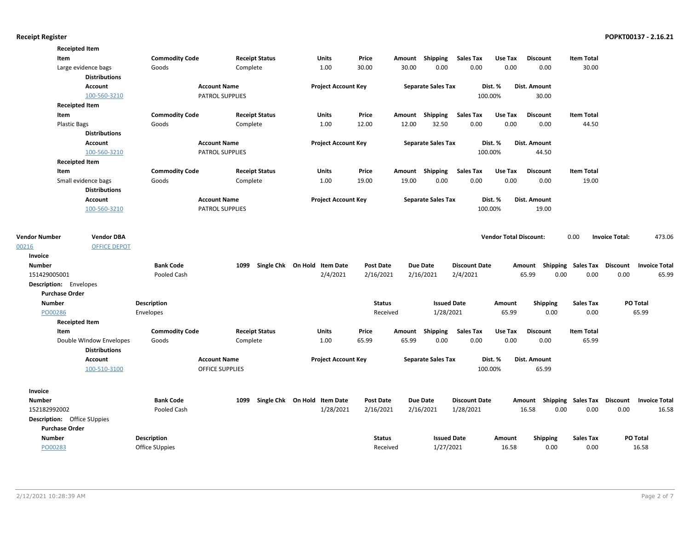| <b>Receipted Item</b>                                                                                                                                                             |                                         |
|-----------------------------------------------------------------------------------------------------------------------------------------------------------------------------------|-----------------------------------------|
| <b>Commodity Code</b><br><b>Receipt Status</b><br>Price<br>Amount Shipping<br><b>Sales Tax</b><br>Use Tax<br><b>Item Total</b><br>Item<br><b>Units</b><br><b>Discount</b>         |                                         |
| 30.00<br>30.00<br>0.00<br>0.00<br>0.00<br>0.00<br>30.00<br>Large evidence bags<br>Goods<br>Complete<br>1.00                                                                       |                                         |
| <b>Distributions</b>                                                                                                                                                              |                                         |
| <b>Account Name</b><br><b>Project Account Key</b><br><b>Separate Sales Tax</b><br><b>Account</b><br>Dist. %<br>Dist. Amount                                                       |                                         |
| 100-560-3210<br>PATROL SUPPLIES<br>100.00%<br>30.00                                                                                                                               |                                         |
| <b>Receipted Item</b>                                                                                                                                                             |                                         |
| Item<br><b>Commodity Code</b><br><b>Receipt Status</b><br><b>Units</b><br>Price<br>Shipping<br><b>Sales Tax</b><br>Use Tax<br><b>Discount</b><br><b>Item Total</b><br>Amount      |                                         |
| 0.00<br>1.00<br>12.00<br>12.00<br>32.50<br>0.00<br>0.00<br>44.50<br><b>Plastic Bags</b><br>Goods<br>Complete                                                                      |                                         |
| <b>Distributions</b>                                                                                                                                                              |                                         |
| <b>Project Account Key</b><br><b>Separate Sales Tax</b><br>Dist. %<br><b>Account</b><br><b>Account Name</b><br>Dist. Amount                                                       |                                         |
| 100-560-3210<br>100.00%<br><b>PATROL SUPPLIES</b><br>44.50                                                                                                                        |                                         |
| <b>Receipted Item</b>                                                                                                                                                             |                                         |
| <b>Commodity Code</b><br>Amount Shipping<br><b>Sales Tax</b><br>Item<br><b>Receipt Status</b><br>Units<br>Price<br>Use Tax<br><b>Discount</b><br><b>Item Total</b>                |                                         |
| 0.00<br>0.00<br>0.00<br>Small evidence bags<br>Goods<br>Complete<br>1.00<br>19.00<br>19.00<br>0.00<br>19.00                                                                       |                                         |
| <b>Distributions</b>                                                                                                                                                              |                                         |
| <b>Project Account Key</b><br>Account<br><b>Account Name</b><br><b>Separate Sales Tax</b><br>Dist. %<br>Dist. Amount                                                              |                                         |
| 100-560-3210<br>100.00%<br><b>PATROL SUPPLIES</b><br>19.00                                                                                                                        |                                         |
|                                                                                                                                                                                   |                                         |
| <b>Vendor Number</b><br><b>Vendor DBA</b><br><b>Vendor Total Discount:</b><br>0.00                                                                                                | 473.06<br><b>Invoice Total:</b>         |
| <b>OFFICE DEPOT</b><br>00216                                                                                                                                                      |                                         |
| Invoice                                                                                                                                                                           |                                         |
| <b>Number</b><br><b>Bank Code</b><br>1099<br>Single Chk On Hold Item Date<br><b>Post Date</b><br><b>Due Date</b><br><b>Discount Date</b><br>Shipping Sales Tax Discount<br>Amount | <b>Invoice Total</b>                    |
| 0.00<br>0.00<br>151429005001<br>Pooled Cash<br>2/4/2021<br>2/16/2021<br>2/16/2021<br>2/4/2021<br>65.99                                                                            | 0.00<br>65.99                           |
| Description: Envelopes                                                                                                                                                            |                                         |
| <b>Purchase Order</b>                                                                                                                                                             |                                         |
| <b>Number</b><br>Description<br><b>Status</b><br><b>Issued Date</b><br><b>Sales Tax</b><br>Amount<br><b>Shipping</b>                                                              | PO Total                                |
| 1/28/2021<br>65.99<br>PO00286<br>Received<br>0.00<br>0.00<br>Envelopes                                                                                                            | 65.99                                   |
| <b>Receipted Item</b>                                                                                                                                                             |                                         |
| Price<br><b>Sales Tax</b><br>Use Tax<br>Item<br><b>Commodity Code</b><br><b>Receipt Status</b><br><b>Units</b><br>Amount Shipping<br><b>Discount</b><br><b>Item Total</b>         |                                         |
| 1.00<br>65.99<br>65.99<br>0.00<br>0.00<br>0.00<br>0.00<br>65.99<br>Double WIndow Envelopes<br>Goods<br>Complete                                                                   |                                         |
| <b>Distributions</b>                                                                                                                                                              |                                         |
| <b>Account Name</b><br><b>Project Account Key</b><br><b>Separate Sales Tax</b><br>Dist. %<br>Dist. Amount<br><b>Account</b>                                                       |                                         |
| 100-510-3100<br><b>OFFICE SUPPLIES</b><br>100.00%<br>65.99                                                                                                                        |                                         |
| Invoice                                                                                                                                                                           |                                         |
| <b>Number</b><br><b>Bank Code</b><br>1099<br>Single Chk On Hold Item Date<br><b>Post Date</b><br><b>Due Date</b><br><b>Discount Date</b><br>Shipping Sales Tax<br>Amount          | <b>Discount</b><br><b>Invoice Total</b> |
| 1/28/2021<br>Pooled Cash<br>2/16/2021<br>2/16/2021<br>1/28/2021<br>16.58<br>0.00<br>0.00<br>152182992002                                                                          | 0.00<br>16.58                           |
| Description: Office SUppies                                                                                                                                                       |                                         |
|                                                                                                                                                                                   |                                         |
| <b>Purchase Order</b>                                                                                                                                                             |                                         |
| <b>Number</b><br><b>Description</b><br><b>Issued Date</b><br><b>Status</b><br>Amount<br><b>Shipping</b><br><b>Sales Tax</b>                                                       | PO Total                                |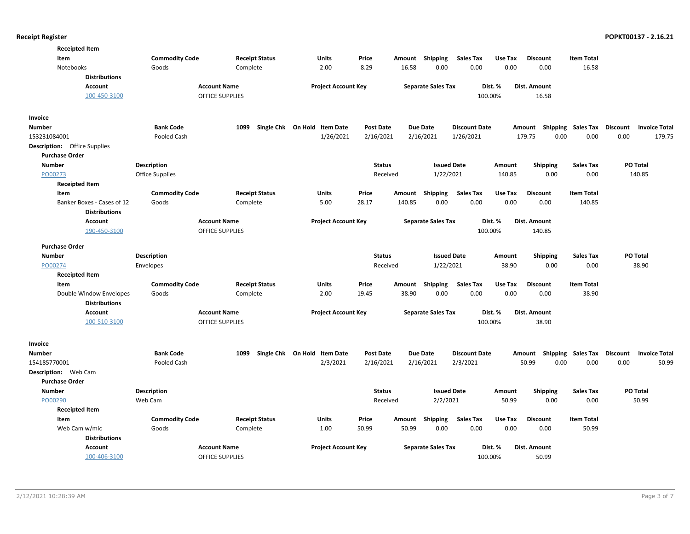| <b>Receipted Item</b>               |                        |                        |                              |                  |                 |                           |                      |         |                           |                   |                                         |
|-------------------------------------|------------------------|------------------------|------------------------------|------------------|-----------------|---------------------------|----------------------|---------|---------------------------|-------------------|-----------------------------------------|
| Item                                | <b>Commodity Code</b>  | <b>Receipt Status</b>  | <b>Units</b>                 | Price            | Amount          | <b>Shipping</b>           | <b>Sales Tax</b>     | Use Tax | <b>Discount</b>           | <b>Item Total</b> |                                         |
| Notebooks                           | Goods                  | Complete               | 2.00                         | 8.29             | 16.58           | 0.00                      | 0.00                 | 0.00    | 0.00                      | 16.58             |                                         |
| <b>Distributions</b>                |                        |                        |                              |                  |                 |                           |                      |         |                           |                   |                                         |
| <b>Account</b>                      | <b>Account Name</b>    |                        | <b>Project Account Key</b>   |                  |                 | <b>Separate Sales Tax</b> |                      | Dist. % | Dist. Amount              |                   |                                         |
| 100-450-3100                        |                        | <b>OFFICE SUPPLIES</b> |                              |                  |                 |                           | 100.00%              |         | 16.58                     |                   |                                         |
| Invoice                             |                        |                        |                              |                  |                 |                           |                      |         |                           |                   |                                         |
| Number                              | <b>Bank Code</b>       | 1099                   | Single Chk On Hold Item Date | <b>Post Date</b> | <b>Due Date</b> |                           | <b>Discount Date</b> |         | Amount Shipping           | Sales Tax         | <b>Discount</b><br><b>Invoice Total</b> |
| 153231084001                        | Pooled Cash            |                        | 1/26/2021                    | 2/16/2021        |                 | 2/16/2021                 | 1/26/2021            |         | 179.75<br>0.00            | 0.00              | 0.00<br>179.75                          |
| <b>Description:</b> Office Supplies |                        |                        |                              |                  |                 |                           |                      |         |                           |                   |                                         |
| <b>Purchase Order</b>               |                        |                        |                              |                  |                 |                           |                      |         |                           |                   |                                         |
| <b>Number</b>                       | <b>Description</b>     |                        |                              | <b>Status</b>    |                 | <b>Issued Date</b>        |                      | Amount  | <b>Shipping</b>           | <b>Sales Tax</b>  | PO Total                                |
| PO00273                             | <b>Office Supplies</b> |                        |                              | Received         |                 | 1/22/2021                 |                      | 140.85  | 0.00                      | 0.00              | 140.85                                  |
| <b>Receipted Item</b>               |                        |                        |                              |                  |                 |                           |                      |         |                           |                   |                                         |
| Item                                | <b>Commodity Code</b>  | <b>Receipt Status</b>  | Units                        | Price            | Amount Shipping |                           | <b>Sales Tax</b>     | Use Tax | <b>Discount</b>           | <b>Item Total</b> |                                         |
| Banker Boxes - Cases of 12          | Goods                  | Complete               | 5.00                         | 28.17            | 140.85          | 0.00                      | 0.00                 | 0.00    | 0.00                      | 140.85            |                                         |
| <b>Distributions</b>                |                        |                        |                              |                  |                 |                           |                      |         |                           |                   |                                         |
| Account                             | <b>Account Name</b>    |                        | <b>Project Account Key</b>   |                  |                 | <b>Separate Sales Tax</b> |                      | Dist. % | Dist. Amount              |                   |                                         |
| 190-450-3100                        |                        | <b>OFFICE SUPPLIES</b> |                              |                  |                 |                           | 100.00%              |         | 140.85                    |                   |                                         |
| <b>Purchase Order</b>               |                        |                        |                              |                  |                 |                           |                      |         |                           |                   |                                         |
| <b>Number</b>                       | Description            |                        |                              | <b>Status</b>    |                 | <b>Issued Date</b>        |                      | Amount  | <b>Shipping</b>           | <b>Sales Tax</b>  | PO Total                                |
| PO00274                             | Envelopes              |                        |                              | Received         |                 | 1/22/2021                 |                      | 38.90   | 0.00                      | 0.00              | 38.90                                   |
| <b>Receipted Item</b>               |                        |                        |                              |                  |                 |                           |                      |         |                           |                   |                                         |
| Item                                | <b>Commodity Code</b>  | <b>Receipt Status</b>  | <b>Units</b>                 | Price            | Amount          | <b>Shipping</b>           | <b>Sales Tax</b>     | Use Tax | <b>Discount</b>           | <b>Item Total</b> |                                         |
| Double Window Envelopes             | Goods                  | Complete               | 2.00                         | 19.45            | 38.90           | 0.00                      | 0.00                 | 0.00    | 0.00                      | 38.90             |                                         |
| <b>Distributions</b>                |                        |                        |                              |                  |                 |                           |                      |         |                           |                   |                                         |
| <b>Account</b>                      | <b>Account Name</b>    |                        | <b>Project Account Key</b>   |                  |                 | <b>Separate Sales Tax</b> |                      | Dist. % | Dist. Amount              |                   |                                         |
| 100-510-3100                        |                        | OFFICE SUPPLIES        |                              |                  |                 |                           | 100.00%              |         | 38.90                     |                   |                                         |
| Invoice                             |                        |                        |                              |                  |                 |                           |                      |         |                           |                   |                                         |
| Number                              | <b>Bank Code</b>       | 1099                   | Single Chk On Hold Item Date | <b>Post Date</b> | <b>Due Date</b> |                           | <b>Discount Date</b> |         | Amount Shipping Sales Tax |                   | Discount<br><b>Invoice Total</b>        |
| 154185770001                        | Pooled Cash            |                        | 2/3/2021                     | 2/16/2021        |                 | 2/16/2021                 | 2/3/2021             |         | 50.99<br>0.00             | 0.00              | 0.00<br>50.99                           |
| Description: Web Cam                |                        |                        |                              |                  |                 |                           |                      |         |                           |                   |                                         |
| <b>Purchase Order</b>               |                        |                        |                              |                  |                 |                           |                      |         |                           |                   |                                         |
| <b>Number</b>                       | Description            |                        |                              | <b>Status</b>    |                 | <b>Issued Date</b>        |                      | Amount  | <b>Shipping</b>           | <b>Sales Tax</b>  | PO Total                                |
| PO00290                             | Web Cam                |                        |                              | Received         |                 | 2/2/2021                  |                      | 50.99   | 0.00                      | 0.00              | 50.99                                   |
| <b>Receipted Item</b>               |                        |                        |                              |                  |                 |                           |                      |         |                           |                   |                                         |
| Item                                | <b>Commodity Code</b>  | <b>Receipt Status</b>  | Units                        | Price            | Amount Shipping |                           | <b>Sales Tax</b>     | Use Tax | <b>Discount</b>           | <b>Item Total</b> |                                         |
| Web Cam w/mic                       | Goods                  | Complete               | 1.00                         | 50.99            | 50.99           | 0.00                      | 0.00                 | 0.00    | 0.00                      | 50.99             |                                         |
| <b>Distributions</b>                |                        |                        |                              |                  |                 |                           |                      |         |                           |                   |                                         |
| <b>Account</b>                      | <b>Account Name</b>    |                        | <b>Project Account Key</b>   |                  |                 | <b>Separate Sales Tax</b> |                      | Dist. % | Dist. Amount              |                   |                                         |
| 100-406-3100                        |                        | <b>OFFICE SUPPLIES</b> |                              |                  |                 |                           | 100.00%              |         | 50.99                     |                   |                                         |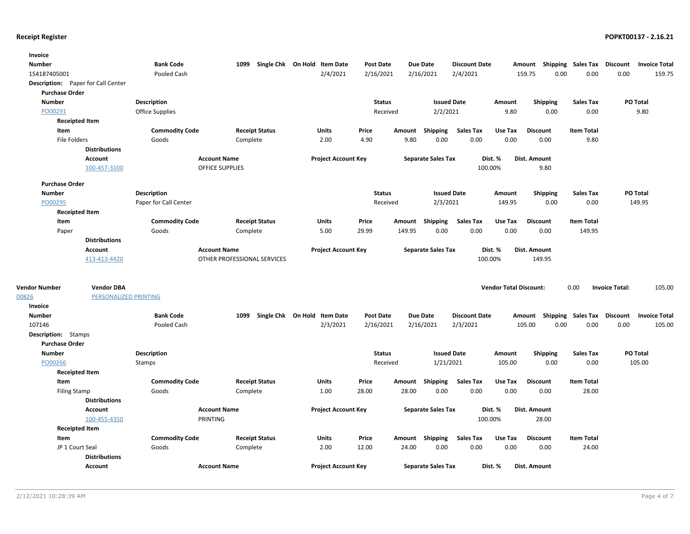| Invoice                                   |                       |                        |                             |                              |                            |                  |        |                           |                      |                               |                                    |                           |                       |                      |
|-------------------------------------------|-----------------------|------------------------|-----------------------------|------------------------------|----------------------------|------------------|--------|---------------------------|----------------------|-------------------------------|------------------------------------|---------------------------|-----------------------|----------------------|
| <b>Number</b>                             |                       | <b>Bank Code</b>       | 1099                        | Single Chk On Hold Item Date |                            | <b>Post Date</b> |        | <b>Due Date</b>           | <b>Discount Date</b> |                               | Amount                             | <b>Shipping Sales Tax</b> | Discount              | <b>Invoice Total</b> |
| 154187405001                              |                       | Pooled Cash            |                             |                              | 2/4/2021                   | 2/16/2021        |        | 2/16/2021                 | 2/4/2021             |                               | 159.75<br>0.00                     | 0.00                      | 0.00                  | 159.75               |
| <b>Description:</b> Paper for Call Center |                       |                        |                             |                              |                            |                  |        |                           |                      |                               |                                    |                           |                       |                      |
| <b>Purchase Order</b>                     |                       |                        |                             |                              |                            |                  |        |                           |                      |                               |                                    |                           |                       |                      |
| <b>Number</b>                             |                       | <b>Description</b>     |                             |                              |                            | <b>Status</b>    |        | <b>Issued Date</b>        |                      | Amount                        | Shipping                           | <b>Sales Tax</b>          |                       | <b>PO Total</b>      |
| PO00291                                   |                       | <b>Office Supplies</b> |                             |                              |                            | Received         |        | 2/2/2021                  |                      | 9.80                          | 0.00                               | 0.00                      |                       | 9.80                 |
| <b>Receipted Item</b>                     |                       |                        |                             |                              |                            |                  |        |                           |                      |                               |                                    |                           |                       |                      |
| Item                                      |                       | <b>Commodity Code</b>  | <b>Receipt Status</b>       |                              | Units                      | Price            | Amount | Shipping                  | <b>Sales Tax</b>     | Use Tax                       | <b>Discount</b>                    | <b>Item Total</b>         |                       |                      |
| File Folders                              |                       | Goods                  | Complete                    |                              | 2.00                       | 4.90             | 9.80   | 0.00                      | 0.00                 | 0.00                          | 0.00                               | 9.80                      |                       |                      |
|                                           | <b>Distributions</b>  |                        |                             |                              |                            |                  |        |                           |                      |                               |                                    |                           |                       |                      |
|                                           | Account               |                        | <b>Account Name</b>         |                              | <b>Project Account Key</b> |                  |        | <b>Separate Sales Tax</b> |                      | Dist. %                       | Dist. Amount                       |                           |                       |                      |
|                                           | 100-457-3100          |                        | <b>OFFICE SUPPLIES</b>      |                              |                            |                  |        |                           |                      | 100.00%                       | 9.80                               |                           |                       |                      |
| <b>Purchase Order</b>                     |                       |                        |                             |                              |                            |                  |        |                           |                      |                               |                                    |                           |                       |                      |
| <b>Number</b>                             |                       | <b>Description</b>     |                             |                              |                            | <b>Status</b>    |        | <b>Issued Date</b>        |                      | Amount                        | <b>Shipping</b>                    | <b>Sales Tax</b>          |                       | PO Total             |
| PO00295                                   |                       | Paper for Call Center  |                             |                              |                            | Received         |        | 2/3/2021                  |                      | 149.95                        | 0.00                               | 0.00                      |                       | 149.95               |
| <b>Receipted Item</b>                     |                       |                        |                             |                              |                            |                  |        |                           |                      |                               |                                    |                           |                       |                      |
| Item                                      |                       | <b>Commodity Code</b>  | <b>Receipt Status</b>       |                              | Units                      | Price            | Amount | Shipping                  | <b>Sales Tax</b>     | Use Tax                       | <b>Discount</b>                    | <b>Item Total</b>         |                       |                      |
| Paper                                     |                       | Goods                  | Complete                    |                              | 5.00                       | 29.99            | 149.95 | 0.00                      | 0.00                 | 0.00                          | 0.00                               | 149.95                    |                       |                      |
|                                           | <b>Distributions</b>  |                        |                             |                              |                            |                  |        |                           |                      |                               |                                    |                           |                       |                      |
|                                           | <b>Account</b>        |                        | <b>Account Name</b>         |                              | <b>Project Account Key</b> |                  |        | <b>Separate Sales Tax</b> |                      | Dist. %                       | Dist. Amount                       |                           |                       |                      |
|                                           | 413-413-4420          |                        | OTHER PROFESSIONAL SERVICES |                              |                            |                  |        |                           | 100.00%              |                               | 149.95                             |                           |                       |                      |
|                                           |                       |                        |                             |                              |                            |                  |        |                           |                      |                               |                                    |                           |                       |                      |
| <b>Vendor Number</b>                      | <b>Vendor DBA</b>     |                        |                             |                              |                            |                  |        |                           |                      | <b>Vendor Total Discount:</b> |                                    | 0.00                      | <b>Invoice Total:</b> | 105.00               |
| 00826                                     | PERSONALIZED PRINTING |                        |                             |                              |                            |                  |        |                           |                      |                               |                                    |                           |                       |                      |
| Invoice                                   |                       |                        |                             |                              |                            |                  |        |                           |                      |                               |                                    |                           |                       |                      |
| <b>Number</b>                             |                       | <b>Bank Code</b>       | 1099                        | Single Chk On Hold Item Date |                            | <b>Post Date</b> |        | Due Date                  | <b>Discount Date</b> |                               | Amount Shipping Sales Tax Discount |                           |                       | <b>Invoice Total</b> |
| 107146                                    |                       | Pooled Cash            |                             |                              | 2/3/2021                   | 2/16/2021        |        | 2/16/2021                 | 2/3/2021             |                               | 105.00<br>0.00                     | 0.00                      | 0.00                  | 105.00               |
| <b>Description:</b> Stamps                |                       |                        |                             |                              |                            |                  |        |                           |                      |                               |                                    |                           |                       |                      |
| <b>Purchase Order</b>                     |                       |                        |                             |                              |                            |                  |        |                           |                      |                               |                                    |                           |                       |                      |
| <b>Number</b>                             |                       | <b>Description</b>     |                             |                              |                            | <b>Status</b>    |        | <b>Issued Date</b>        |                      | Amount                        | Shipping                           | <b>Sales Tax</b>          |                       | PO Total             |
| PO00266                                   |                       | Stamps                 |                             |                              |                            | Received         |        | 1/21/2021                 |                      | 105.00                        | 0.00                               | 0.00                      |                       | 105.00               |
| <b>Receipted Item</b>                     |                       |                        |                             |                              |                            |                  |        |                           |                      |                               |                                    |                           |                       |                      |
| Item                                      |                       | <b>Commodity Code</b>  | <b>Receipt Status</b>       |                              | Units                      | Price            | Amount | Shipping                  | <b>Sales Tax</b>     | Use Tax                       | <b>Discount</b>                    | <b>Item Total</b>         |                       |                      |
| <b>Filing Stamp</b>                       |                       | Goods                  | Complete                    |                              | 1.00                       | 28.00            | 28.00  | 0.00                      | 0.00                 | 0.00                          | 0.00                               | 28.00                     |                       |                      |
|                                           | <b>Distributions</b>  |                        |                             |                              |                            |                  |        |                           |                      |                               |                                    |                           |                       |                      |
|                                           | <b>Account</b>        |                        | <b>Account Name</b>         |                              | <b>Project Account Key</b> |                  |        | <b>Separate Sales Tax</b> |                      | Dist. %                       | Dist. Amount                       |                           |                       |                      |
|                                           | 100-455-4350          |                        | PRINTING                    |                              |                            |                  |        |                           |                      | 100.00%                       | 28.00                              |                           |                       |                      |
| <b>Receipted Item</b>                     |                       |                        |                             |                              |                            |                  |        |                           |                      |                               |                                    |                           |                       |                      |
| Item                                      |                       | <b>Commodity Code</b>  |                             | <b>Receipt Status</b>        | <b>Units</b>               | Price            |        | Amount Shipping           | <b>Sales Tax</b>     | Use Tax                       | <b>Discount</b>                    | <b>Item Total</b>         |                       |                      |
| JP 1 Court Seal                           |                       | Goods                  | Complete                    |                              | 2.00                       | 12.00            | 24.00  | 0.00                      | 0.00                 | 0.00                          | 0.00                               | 24.00                     |                       |                      |
|                                           | <b>Distributions</b>  |                        |                             |                              |                            |                  |        |                           |                      |                               |                                    |                           |                       |                      |
|                                           | <b>Account</b>        |                        | <b>Account Name</b>         |                              | <b>Project Account Key</b> |                  |        | <b>Separate Sales Tax</b> |                      | Dist. %                       | Dist. Amount                       |                           |                       |                      |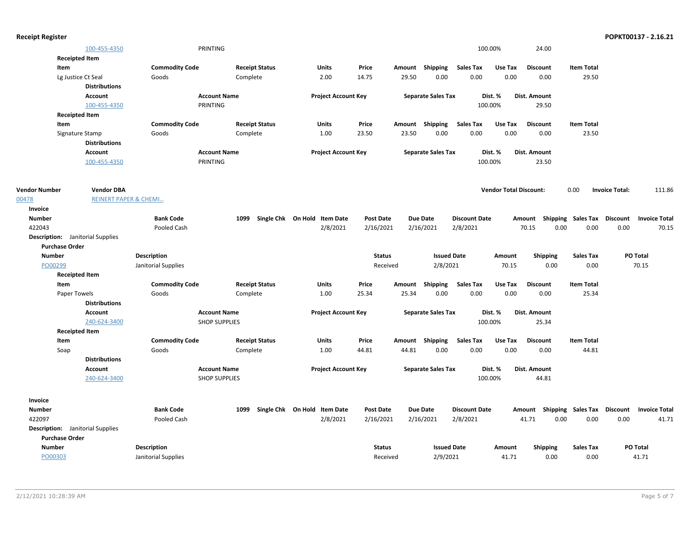| <b>Receipt Register</b> |                                         |                       |                      |                       |                              |                  |       |                           |                      |                               |                         |                             |                       | POPKT00137 - 2.16.21          |
|-------------------------|-----------------------------------------|-----------------------|----------------------|-----------------------|------------------------------|------------------|-------|---------------------------|----------------------|-------------------------------|-------------------------|-----------------------------|-----------------------|-------------------------------|
|                         | 100-455-4350                            |                       | PRINTING             |                       |                              |                  |       |                           | 100.00%              |                               | 24.00                   |                             |                       |                               |
|                         | <b>Receipted Item</b>                   |                       |                      |                       |                              |                  |       |                           |                      |                               |                         |                             |                       |                               |
| Item                    |                                         | <b>Commodity Code</b> |                      | <b>Receipt Status</b> | <b>Units</b>                 | Price            |       | Amount Shipping           | <b>Sales Tax</b>     | Use Tax                       | <b>Discount</b>         | <b>Item Total</b>           |                       |                               |
|                         | Lg Justice Ct Seal                      | Goods                 | Complete             |                       | 2.00                         | 14.75            | 29.50 | 0.00                      | 0.00                 | 0.00                          | 0.00                    | 29.50                       |                       |                               |
|                         | <b>Distributions</b>                    |                       |                      |                       |                              |                  |       |                           |                      |                               |                         |                             |                       |                               |
|                         | Account                                 |                       | <b>Account Name</b>  |                       | <b>Project Account Key</b>   |                  |       | <b>Separate Sales Tax</b> |                      | Dist. %                       | Dist. Amount            |                             |                       |                               |
|                         | 100-455-4350                            |                       | PRINTING             |                       |                              |                  |       |                           | 100.00%              |                               | 29.50                   |                             |                       |                               |
|                         | <b>Receipted Item</b>                   |                       |                      |                       |                              |                  |       |                           |                      |                               |                         |                             |                       |                               |
| Item                    |                                         | <b>Commodity Code</b> |                      | <b>Receipt Status</b> | <b>Units</b>                 | Price            |       | Amount Shipping           | <b>Sales Tax</b>     | Use Tax                       | <b>Discount</b>         | <b>Item Total</b>           |                       |                               |
|                         | Signature Stamp                         | Goods                 | Complete             |                       | 1.00                         | 23.50            | 23.50 | 0.00                      | 0.00                 | 0.00                          | 0.00                    | 23.50                       |                       |                               |
|                         | <b>Distributions</b>                    |                       |                      |                       |                              |                  |       |                           |                      |                               |                         |                             |                       |                               |
|                         | <b>Account</b>                          |                       | <b>Account Name</b>  |                       | <b>Project Account Key</b>   |                  |       | <b>Separate Sales Tax</b> |                      | Dist. %                       | Dist. Amount            |                             |                       |                               |
|                         | 100-455-4350                            |                       | PRINTING             |                       |                              |                  |       |                           | 100.00%              |                               | 23.50                   |                             |                       |                               |
|                         |                                         |                       |                      |                       |                              |                  |       |                           |                      |                               |                         |                             |                       |                               |
| <b>Vendor Number</b>    | <b>Vendor DBA</b>                       |                       |                      |                       |                              |                  |       |                           |                      | <b>Vendor Total Discount:</b> |                         | 0.00                        | <b>Invoice Total:</b> | 111.86                        |
| 00478                   | <b>REINERT PAPER &amp; CHEMI</b>        |                       |                      |                       |                              |                  |       |                           |                      |                               |                         |                             |                       |                               |
| Invoice                 |                                         |                       |                      |                       |                              |                  |       |                           |                      |                               |                         |                             |                       |                               |
| <b>Number</b><br>422043 |                                         | <b>Bank Code</b>      | 1099                 |                       | Single Chk On Hold Item Date | <b>Post Date</b> |       | <b>Due Date</b>           | <b>Discount Date</b> |                               | Amount<br>70.15<br>0.00 | Shipping Sales Tax Discount |                       | <b>Invoice Total</b><br>70.15 |
|                         |                                         | Pooled Cash           |                      |                       | 2/8/2021                     | 2/16/2021        |       | 2/16/2021                 | 2/8/2021             |                               |                         | 0.00                        | 0.00                  |                               |
| <b>Purchase Order</b>   | <b>Description:</b> Janitorial Supplies |                       |                      |                       |                              |                  |       |                           |                      |                               |                         |                             |                       |                               |
| <b>Number</b>           |                                         | Description           |                      |                       |                              | <b>Status</b>    |       | <b>Issued Date</b>        |                      | Amount                        |                         | <b>Sales Tax</b>            |                       | PO Total                      |
| PO00299                 |                                         | Janitorial Supplies   |                      |                       |                              | Received         |       | 2/8/2021                  |                      | 70.15                         | <b>Shipping</b><br>0.00 | 0.00                        |                       | 70.15                         |
|                         | <b>Receipted Item</b>                   |                       |                      |                       |                              |                  |       |                           |                      |                               |                         |                             |                       |                               |
| Item                    |                                         | <b>Commodity Code</b> |                      | <b>Receipt Status</b> | <b>Units</b>                 | Price            |       | Amount Shipping           | <b>Sales Tax</b>     | Use Tax                       | <b>Discount</b>         | <b>Item Total</b>           |                       |                               |
|                         | Paper Towels                            | Goods                 | Complete             |                       | 1.00                         | 25.34            | 25.34 | 0.00                      | 0.00                 | 0.00                          | 0.00                    | 25.34                       |                       |                               |
|                         | <b>Distributions</b>                    |                       |                      |                       |                              |                  |       |                           |                      |                               |                         |                             |                       |                               |
|                         | Account                                 |                       | <b>Account Name</b>  |                       | <b>Project Account Key</b>   |                  |       | <b>Separate Sales Tax</b> |                      | Dist. %                       | Dist. Amount            |                             |                       |                               |
|                         | 240-624-3400                            |                       | <b>SHOP SUPPLIES</b> |                       |                              |                  |       |                           | 100.00%              |                               | 25.34                   |                             |                       |                               |
|                         | <b>Receipted Item</b>                   |                       |                      |                       |                              |                  |       |                           |                      |                               |                         |                             |                       |                               |
| Item                    |                                         | <b>Commodity Code</b> |                      | <b>Receipt Status</b> | <b>Units</b>                 | Price            |       | Amount Shipping           | <b>Sales Tax</b>     | Use Tax                       | <b>Discount</b>         | <b>Item Total</b>           |                       |                               |
| Soap                    |                                         | Goods                 | Complete             |                       | 1.00                         | 44.81            | 44.81 | 0.00                      | 0.00                 | 0.00                          | 0.00                    | 44.81                       |                       |                               |
|                         | <b>Distributions</b>                    |                       |                      |                       |                              |                  |       |                           |                      |                               |                         |                             |                       |                               |
|                         | <b>Account</b>                          |                       | <b>Account Name</b>  |                       | <b>Project Account Key</b>   |                  |       | <b>Separate Sales Tax</b> |                      | Dist. %                       | Dist. Amount            |                             |                       |                               |
|                         | 240-624-3400                            |                       | <b>SHOP SUPPLIES</b> |                       |                              |                  |       |                           | 100.00%              |                               | 44.81                   |                             |                       |                               |
|                         |                                         |                       |                      |                       |                              |                  |       |                           |                      |                               |                         |                             |                       |                               |
| Invoice                 |                                         |                       |                      |                       |                              |                  |       |                           |                      |                               |                         |                             |                       |                               |
| <b>Number</b>           |                                         | <b>Bank Code</b>      | 1099                 |                       | Single Chk On Hold Item Date | <b>Post Date</b> |       | <b>Due Date</b>           | <b>Discount Date</b> |                               | Amount                  | Shipping Sales Tax          | <b>Discount</b>       | <b>Invoice Total</b>          |
| 422097                  |                                         | Pooled Cash           |                      |                       | 2/8/2021                     | 2/16/2021        |       | 2/16/2021                 | 2/8/2021             |                               | 41.71<br>0.00           | 0.00                        | 0.00                  | 41.71                         |
|                         | <b>Description:</b> Janitorial Supplies |                       |                      |                       |                              |                  |       |                           |                      |                               |                         |                             |                       |                               |
| <b>Purchase Order</b>   |                                         |                       |                      |                       |                              |                  |       |                           |                      |                               |                         |                             |                       |                               |
| <b>Number</b>           |                                         | <b>Description</b>    |                      |                       |                              | <b>Status</b>    |       | <b>Issued Date</b>        |                      | Amount                        | <b>Shipping</b>         | <b>Sales Tax</b>            |                       | <b>PO Total</b>               |
| PO00303                 |                                         | Janitorial Supplies   |                      |                       |                              | Received         |       | 2/9/2021                  |                      | 41.71                         | 0.00                    | 0.00                        |                       | 41.71                         |
|                         |                                         |                       |                      |                       |                              |                  |       |                           |                      |                               |                         |                             |                       |                               |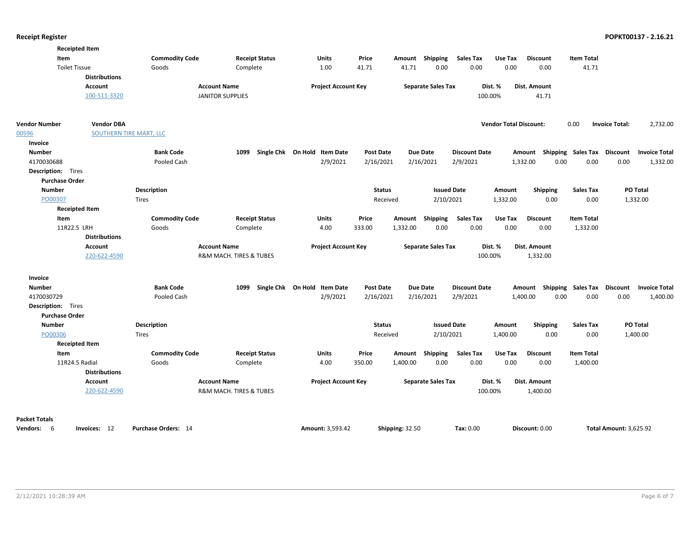| <b>Receipted Item</b>                    |                                              |                         |                              |                            |                  |                           |                      |                               |                           |                   |                                   |
|------------------------------------------|----------------------------------------------|-------------------------|------------------------------|----------------------------|------------------|---------------------------|----------------------|-------------------------------|---------------------------|-------------------|-----------------------------------|
| Item                                     | <b>Commodity Code</b>                        |                         | <b>Receipt Status</b>        | Units                      | Price            | Shipping<br>Amount        | <b>Sales Tax</b>     | Use Tax                       | <b>Discount</b>           | <b>Item Total</b> |                                   |
| <b>Toilet Tissue</b>                     | Goods                                        | Complete                |                              | 1.00                       | 41.71            | 41.71                     | 0.00<br>0.00         | 0.00                          | 0.00                      | 41.71             |                                   |
|                                          | <b>Distributions</b>                         |                         |                              |                            |                  |                           |                      |                               |                           |                   |                                   |
|                                          | Account                                      | <b>Account Name</b>     |                              | <b>Project Account Key</b> |                  | <b>Separate Sales Tax</b> |                      | Dist. %                       | Dist. Amount              |                   |                                   |
|                                          | 100-511-3320                                 | <b>JANITOR SUPPLIES</b> |                              |                            |                  |                           |                      | 100.00%                       | 41.71                     |                   |                                   |
| <b>Vendor Number</b><br>00596<br>Invoice | <b>Vendor DBA</b><br>SOUTHERN TIRE MART, LLC |                         |                              |                            |                  |                           |                      | <b>Vendor Total Discount:</b> |                           | 0.00              | <b>Invoice Total:</b><br>2,732.00 |
| <b>Number</b>                            | <b>Bank Code</b>                             | 1099                    | Single Chk On Hold Item Date |                            | <b>Post Date</b> | <b>Due Date</b>           | <b>Discount Date</b> |                               | Amount Shipping Sales Tax |                   | Discount<br><b>Invoice Total</b>  |
| 4170030688                               | Pooled Cash                                  |                         |                              | 2/9/2021                   | 2/16/2021        | 2/16/2021                 | 2/9/2021             | 1,332.00                      | 0.00                      | 0.00              | 0.00<br>1,332.00                  |
| <b>Description:</b> Tires                |                                              |                         |                              |                            |                  |                           |                      |                               |                           |                   |                                   |
| <b>Purchase Order</b>                    |                                              |                         |                              |                            |                  |                           |                      |                               |                           |                   |                                   |
| <b>Number</b>                            | Description                                  |                         |                              |                            | <b>Status</b>    |                           | <b>Issued Date</b>   | Amount                        | <b>Shipping</b>           | <b>Sales Tax</b>  | PO Total                          |
| PO00307                                  | <b>Tires</b>                                 |                         |                              |                            | Received         |                           | 2/10/2021            | 1,332.00                      | 0.00                      | 0.00              | 1,332.00                          |
| <b>Receipted Item</b>                    |                                              |                         |                              |                            |                  |                           |                      |                               |                           |                   |                                   |
| Item                                     | <b>Commodity Code</b>                        |                         | <b>Receipt Status</b>        | Units                      | Price            | Amount Shipping           | <b>Sales Tax</b>     | Use Tax                       | <b>Discount</b>           | <b>Item Total</b> |                                   |
| 11R22.5 LRH                              | Goods                                        | Complete                |                              | 4.00                       | 333.00           | 1,332.00                  | 0.00<br>0.00         | 0.00                          | 0.00                      | 1,332.00          |                                   |
|                                          | <b>Distributions</b>                         |                         |                              |                            |                  |                           |                      |                               |                           |                   |                                   |
|                                          | Account                                      | <b>Account Name</b>     |                              | <b>Project Account Key</b> |                  | <b>Separate Sales Tax</b> |                      | Dist. %                       | Dist. Amount              |                   |                                   |
|                                          | 220-622-4590                                 | R&M MACH. TIRES & TUBES |                              |                            |                  |                           |                      | 100.00%                       | 1,332.00                  |                   |                                   |
| Invoice                                  |                                              |                         |                              |                            |                  |                           |                      |                               |                           |                   |                                   |
| <b>Number</b>                            | <b>Bank Code</b>                             | 1099                    | Single Chk On Hold Item Date |                            | <b>Post Date</b> | Due Date                  | <b>Discount Date</b> |                               | Amount Shipping Sales Tax |                   | Discount<br><b>Invoice Total</b>  |
| 4170030729                               | <b>Pooled Cash</b>                           |                         |                              | 2/9/2021                   | 2/16/2021        | 2/16/2021                 | 2/9/2021             | 1,400.00                      | 0.00                      | 0.00              | 0.00<br>1,400.00                  |
| <b>Description:</b> Tires                |                                              |                         |                              |                            |                  |                           |                      |                               |                           |                   |                                   |
| <b>Purchase Order</b>                    |                                              |                         |                              |                            |                  |                           |                      |                               |                           |                   |                                   |
| <b>Number</b>                            | Description                                  |                         |                              |                            | <b>Status</b>    |                           | <b>Issued Date</b>   | Amount                        | <b>Shipping</b>           | <b>Sales Tax</b>  | PO Total                          |
| PO00306                                  | <b>Tires</b>                                 |                         |                              |                            | Received         |                           | 2/10/2021            | 1,400.00                      | 0.00                      | 0.00              | 1,400.00                          |
| <b>Receipted Item</b>                    |                                              |                         |                              |                            |                  |                           |                      |                               |                           |                   |                                   |
| Item                                     | <b>Commodity Code</b>                        |                         | <b>Receipt Status</b>        | Units                      | Price            | Shipping<br>Amount        | <b>Sales Tax</b>     | Use Tax                       | <b>Discount</b>           | <b>Item Total</b> |                                   |
| 11R24.5 Radial                           | Goods                                        | Complete                |                              | 4.00                       | 350.00           | 1,400.00                  | 0.00<br>0.00         | 0.00                          | 0.00                      | 1,400.00          |                                   |
|                                          | <b>Distributions</b>                         |                         |                              |                            |                  |                           |                      |                               |                           |                   |                                   |
|                                          | Account                                      | <b>Account Name</b>     |                              | <b>Project Account Key</b> |                  | <b>Separate Sales Tax</b> |                      | Dist. %                       | Dist. Amount              |                   |                                   |
|                                          | 220-622-4590                                 | R&M MACH. TIRES & TUBES |                              |                            |                  |                           |                      | 100.00%                       | 1,400.00                  |                   |                                   |
|                                          |                                              |                         |                              |                            |                  |                           |                      |                               |                           |                   |                                   |
| <b>Packet Totals</b>                     |                                              |                         |                              |                            |                  |                           |                      |                               |                           |                   |                                   |
| Vendors: 6                               | Purchase Orders: 14<br>Invoices: 12          |                         |                              | <b>Amount: 3,593.42</b>    | Shipping: 32.50  |                           | Tax: 0.00            |                               | Discount: 0.00            |                   | <b>Total Amount: 3,625.92</b>     |